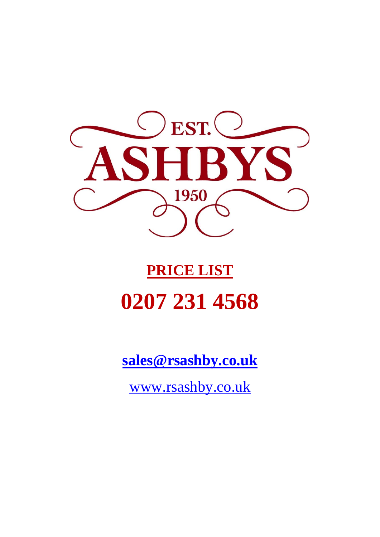

# **PRICE LIST 0207 231 4568**

**[sales@rsashby.co.uk](mailto:sales@rsashby.co.uk)**

[www.rsashby.co.uk](http://www.rsashby.co.uk/)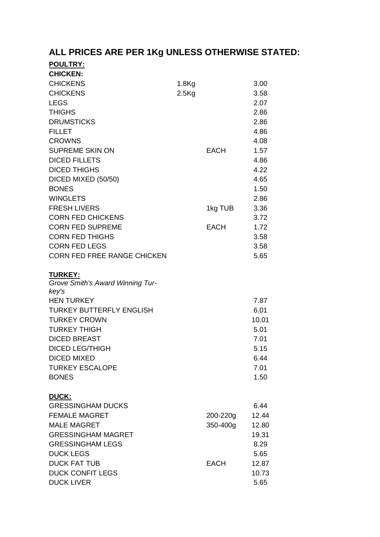## **ALL PRICES ARE PER 1Kg UNLESS OTHERWISE STATED:**

| <b>POULTRY:</b><br><b>CHICKEN:</b>                 |          |             |               |
|----------------------------------------------------|----------|-------------|---------------|
| <b>CHICKENS</b>                                    | $1.8$ Kg |             | 3.00          |
| <b>CHICKENS</b>                                    | $2.5$ Kg |             | 3.58          |
| <b>LEGS</b>                                        |          |             | 2.07          |
| <b>THIGHS</b>                                      |          |             | 2.86          |
| <b>DRUMSTICKS</b>                                  |          |             | 2.86          |
|                                                    |          |             |               |
| <b>FILLET</b>                                      |          |             | 4.86          |
| <b>CROWNS</b>                                      |          |             | 4.08          |
| <b>SUPREME SKIN ON</b>                             |          | <b>EACH</b> | 1.57          |
| <b>DICED FILLETS</b>                               |          |             | 4.86          |
| <b>DICED THIGHS</b>                                |          |             | 4.22          |
| DICED MIXED (50/50)                                |          |             | 4.65          |
| <b>BONES</b>                                       |          |             | 1.50          |
| <b>WINGLETS</b>                                    |          |             | 2.86          |
| <b>FRESH LIVERS</b>                                |          | 1kg TUB     | 3.36          |
| <b>CORN FED CHICKENS</b>                           |          |             | 3.72          |
| <b>CORN FED SUPREME</b>                            |          | <b>EACH</b> | 1.72          |
| <b>CORN FED THIGHS</b>                             |          |             | 3.58          |
| <b>CORN FED LEGS</b>                               |          |             | 3.58          |
| <b>CORN FED FREE RANGE CHICKEN</b>                 |          |             | 5.65          |
| <b>TURKEY:</b><br>Grove Smith's Award Winning Tur- |          |             |               |
| key's                                              |          |             |               |
| <b>HEN TURKEY</b>                                  |          |             | 7.87          |
| <b>TURKEY BUTTERFLY ENGLISH</b>                    |          |             | 6.01<br>10.01 |
| <b>TURKEY CROWN</b>                                |          |             |               |
| <b>TURKEY THIGH</b>                                |          |             | 5.01<br>7.01  |
| <b>DICED BREAST</b>                                |          |             |               |
| <b>DICED LEG/THIGH</b>                             |          |             | 5.15          |
| <b>DICED MIXED</b>                                 |          |             | 6.44          |
| <b>TURKEY ESCALOPE</b>                             |          |             | 7.01          |
| <b>BONES</b>                                       |          |             | 1.50          |
| DUCK:                                              |          |             |               |
| <b>GRESSINGHAM DUCKS</b>                           |          |             | 6.44          |
| <b>FEMALE MAGRET</b>                               |          | 200-220g    | 12.44         |
| <b>MALE MAGRET</b>                                 |          | 350-400g    | 12.80         |
| <b>GRESSINGHAM MAGRET</b>                          |          |             | 19.31         |
| <b>GRESSINGHAM LEGS</b>                            |          |             | 8.29          |
| <b>DUCK LEGS</b>                                   |          |             | 5.65          |
| <b>DUCK FAT TUB</b>                                |          | EACH        | 12.87         |
| <b>DUCK CONFIT LEGS</b>                            |          |             | 10.73         |
| <b>DUCK LIVER</b>                                  |          |             | 5.65          |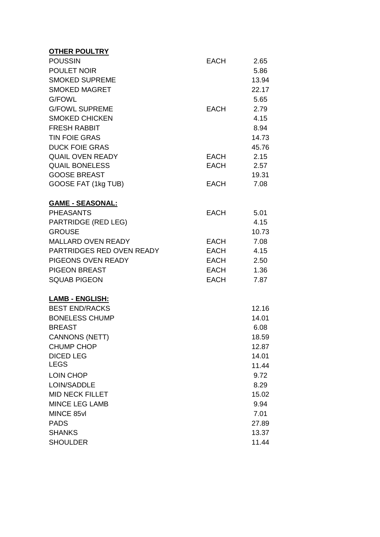| <b>OTHER POULTRY</b>       |             |       |
|----------------------------|-------------|-------|
| <b>POUSSIN</b>             | <b>EACH</b> | 2.65  |
| POULET NOIR                |             | 5.86  |
| <b>SMOKED SUPREME</b>      |             | 13.94 |
| <b>SMOKED MAGRET</b>       |             | 22.17 |
| <b>G/FOWL</b>              |             | 5.65  |
| <b>G/FOWL SUPREME</b>      | <b>EACH</b> | 2.79  |
| <b>SMOKED CHICKEN</b>      |             | 4.15  |
| <b>FRESH RABBIT</b>        |             | 8.94  |
| <b>TIN FOIE GRAS</b>       |             | 14.73 |
| <b>DUCK FOIE GRAS</b>      |             | 45.76 |
| <b>QUAIL OVEN READY</b>    | EACH        | 2.15  |
| <b>QUAIL BONELESS</b>      | EACH        | 2.57  |
| <b>GOOSE BREAST</b>        |             | 19.31 |
| GOOSE FAT (1kg TUB)        | <b>EACH</b> | 7.08  |
| <b>GAME - SEASONAL:</b>    |             |       |
| <b>PHEASANTS</b>           | <b>EACH</b> | 5.01  |
| <b>PARTRIDGE (RED LEG)</b> |             | 4.15  |
| <b>GROUSE</b>              |             | 10.73 |
| <b>MALLARD OVEN READY</b>  | EACH        | 7.08  |
| PARTRIDGES RED OVEN READY  | EACH        | 4.15  |
| PIGEONS OVEN READY         | EACH        | 2.50  |
| <b>PIGEON BREAST</b>       | EACH        | 1.36  |
| <b>SQUAB PIGEON</b>        | <b>EACH</b> | 7.87  |
| <b>LAMB - ENGLISH:</b>     |             |       |
| <b>BEST END/RACKS</b>      |             | 12.16 |
| <b>BONELESS CHUMP</b>      |             | 14.01 |
| <b>BREAST</b>              |             | 6.08  |
| <b>CANNONS (NETT)</b>      |             | 18.59 |
| <b>CHUMP CHOP</b>          |             | 12.87 |
| <b>DICED LEG</b>           |             | 14.01 |
| <b>LEGS</b>                |             | 11.44 |
| <b>LOIN CHOP</b>           |             | 9.72  |
| LOIN/SADDLE                |             | 8.29  |
| <b>MID NECK FILLET</b>     |             | 15.02 |
| <b>MINCE LEG LAMB</b>      |             | 9.94  |
| MINCE 85vl                 |             | 7.01  |
| <b>PADS</b>                |             | 27.89 |
| <b>SHANKS</b>              |             | 13.37 |
| <b>SHOULDER</b>            |             | 11.44 |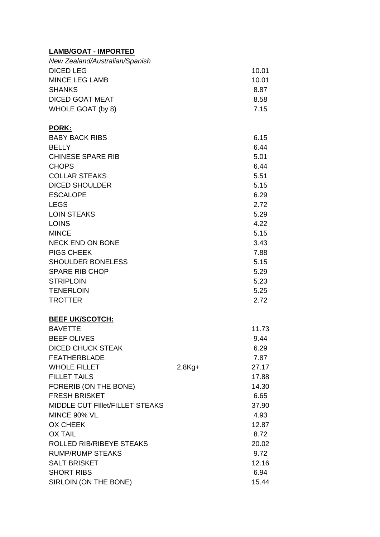#### **LAMB/GOAT - IMPORTED**

| New Zealand/Australian/Spanish |           |       |
|--------------------------------|-----------|-------|
| <b>DICED LEG</b>               |           | 10.01 |
| <b>MINCE LEG LAMB</b>          |           | 10.01 |
| <b>SHANKS</b>                  |           | 8.87  |
| <b>DICED GOAT MEAT</b>         |           | 8.58  |
| WHOLE GOAT (by 8)              |           | 7.15  |
| <b>PORK:</b>                   |           |       |
| <b>BABY BACK RIBS</b>          |           | 6.15  |
| <b>BELLY</b>                   |           | 6.44  |
| <b>CHINESE SPARE RIB</b>       |           | 5.01  |
| <b>CHOPS</b>                   |           | 6.44  |
| <b>COLLAR STEAKS</b>           |           | 5.51  |
| <b>DICED SHOULDER</b>          |           | 5.15  |
| <b>ESCALOPE</b>                |           | 6.29  |
| <b>LEGS</b>                    |           | 2.72  |
| <b>LOIN STEAKS</b>             |           | 5.29  |
| <b>LOINS</b>                   |           | 4.22  |
| <b>MINCE</b>                   |           | 5.15  |
| <b>NECK END ON BONE</b>        |           | 3.43  |
| <b>PIGS CHEEK</b>              |           | 7.88  |
| <b>SHOULDER BONELESS</b>       |           | 5.15  |
| <b>SPARE RIB CHOP</b>          |           | 5.29  |
| <b>STRIPLOIN</b>               |           | 5.23  |
| <b>TENERLOIN</b>               |           | 5.25  |
| <b>TROTTER</b>                 |           | 2.72  |
| <b>BEEF UK/SCOTCH:</b>         |           |       |
| <b>BAVETTE</b>                 |           | 11.73 |
| BEFF OLIVES                    |           | 9.44  |
| <b>DICED CHUCK STEAK</b>       |           | 6.29  |
| <b>FEATHERBLADE</b>            |           | 7.87  |
| <b>WHOLE FILLET</b>            | $2.8$ Kg+ | 27.17 |
| <b>FILLET TAILS</b>            |           | 17.88 |
| FORERIB (ON THE BONE)          |           | 14.30 |
| <b>FRESH BRISKET</b>           |           | 6.65  |

| DIVLD VEIUVA STLAN                     |           | U.ZJ  |
|----------------------------------------|-----------|-------|
| <b>FEATHERBLADE</b>                    |           | 7.87  |
| <b>WHOLE FILLET</b>                    | $2.8$ Kg+ | 27.17 |
| <b>FILLET TAILS</b>                    |           | 17.88 |
| FORERIB (ON THE BONE)                  |           | 14.30 |
| <b>FRESH BRISKET</b>                   |           | 6.65  |
| <b>MIDDLE CUT FIIIet/FILLET STEAKS</b> |           | 37.90 |
| MINCE 90% VL                           |           | 4.93  |
| <b>OX CHEEK</b>                        |           | 12.87 |
| <b>OX TAIL</b>                         |           | 8.72  |
| <b>ROLLED RIB/RIBEYE STEAKS</b>        |           | 20.02 |
| <b>RUMP/RUMP STEAKS</b>                |           | 9.72  |
| <b>SALT BRISKET</b>                    |           | 12.16 |
| <b>SHORT RIBS</b>                      |           | 6.94  |
| SIRLOIN (ON THE BONE)                  |           | 15.44 |
|                                        |           |       |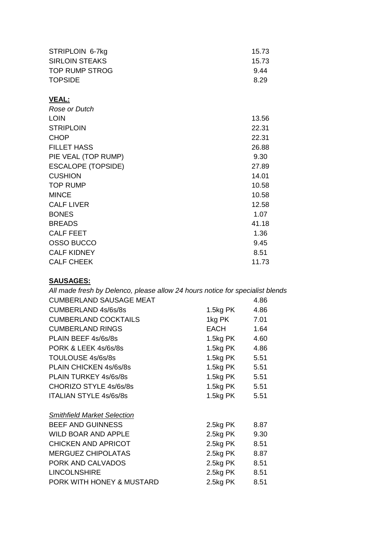| STRIPLOIN 6-7kg           | 15.73 |
|---------------------------|-------|
| <b>SIRLOIN STEAKS</b>     | 15.73 |
| <b>TOP RUMP STROG</b>     | 9.44  |
| <b>TOPSIDE</b>            | 8.29  |
| VEAL:                     |       |
| Rose or Dutch             |       |
| <b>LOIN</b>               | 13.56 |
| <b>STRIPLOIN</b>          | 22.31 |
| <b>CHOP</b>               | 22.31 |
| <b>FILLET HASS</b>        | 26.88 |
| PIE VEAL (TOP RUMP)       | 9.30  |
| <b>ESCALOPE (TOPSIDE)</b> | 27.89 |
| <b>CUSHION</b>            | 14.01 |
| TOP RUMP                  | 10.58 |

| <b>000 - 11</b>    | .     |
|--------------------|-------|
| <b>TOP RUMP</b>    | 10.58 |
| <b>MINCE</b>       | 10.58 |
| <b>CALF LIVER</b>  | 12.58 |
| <b>BONES</b>       | 1.07  |
| <b>BREADS</b>      | 41.18 |
| <b>CALF FEET</b>   | 1.36  |
| OSSO BUCCO         | 9.45  |
| <b>CALF KIDNEY</b> | 8.51  |
| <b>CALF CHEEK</b>  | 11.73 |

### **SAUSAGES:**

| All made fresh by Delenco, please allow 24 hours notice for specialist blends |               |      |
|-------------------------------------------------------------------------------|---------------|------|
| <b>CUMBERLAND SAUSAGE MEAT</b>                                                |               | 4.86 |
| <b>CUMBERLAND 4s/6s/8s</b>                                                    | 1.5kg PK      | 4.86 |
| <b>CUMBERLAND COCKTAILS</b>                                                   | 1kg PK 7.01   |      |
| <b>CUMBERLAND RINGS</b>                                                       | EACH          | 1.64 |
| PLAIN BEEF 4s/6s/8s                                                           | 1.5kg PK      | 4.60 |
| PORK & LEEK 4s/6s/8s                                                          | 1.5kg PK      | 4.86 |
| TOULOUSE 4s/6s/8s                                                             | 1.5kg PK 5.51 |      |
| PLAIN CHICKEN 4s/6s/8s                                                        | 1.5kg PK 5.51 |      |
| PLAIN TURKEY 4s/6s/8s                                                         | 1.5kg PK 5.51 |      |
| CHORIZO STYLE 4s/6s/8s                                                        | 1.5kg PK 5.51 |      |
| <b>ITALIAN STYLE 4s/6s/8s</b>                                                 | 1.5kg PK      | 5.51 |
|                                                                               |               |      |
| <b>Smithfield Market Selection</b>                                            |               |      |
| <b>BEEF AND GUINNESS</b>                                                      | 2.5kg PK      | 8.87 |
| <b>WILD BOAR AND APPLE</b>                                                    | 2.5kg PK      | 9.30 |
| <b>CHICKEN AND APRICOT</b>                                                    | 2.5kg PK      | 8.51 |
| <b>MERGUEZ CHIPOLATAS</b>                                                     | 2.5kg PK      | 8.87 |
| PORK AND CALVADOS                                                             | 2.5kg PK      | 8.51 |
| <b>LINCOLNSHIRE</b>                                                           | 2.5kg PK      | 8.51 |
| PORK WITH HONEY & MUSTARD                                                     | 2.5kg PK      | 8.51 |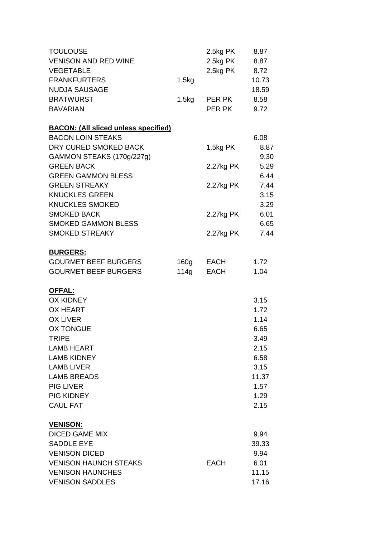| <b>TOULOUSE</b>                             |       | 2.5kg PK    | 8.87  |
|---------------------------------------------|-------|-------------|-------|
| <b>VENISON AND RED WINE</b>                 |       | 2.5kg PK    | 8.87  |
| <b>VEGETABLE</b>                            |       | 2.5kg PK    | 8.72  |
| <b>FRANKFURTERS</b>                         | 1.5kg |             | 10.73 |
| <b>NUDJA SAUSAGE</b>                        |       |             | 18.59 |
| <b>BRATWURST</b>                            | 1.5kg | PER PK      | 8.58  |
| <b>BAVARIAN</b>                             |       | PER PK      | 9.72  |
| <b>BACON: (All sliced unless specified)</b> |       |             |       |
| <b>BACON LOIN STEAKS</b>                    |       |             | 6.08  |
| DRY CURED SMOKED BACK                       |       | 1.5kg PK    | 8.87  |
| GAMMON STEAKS (170g/227g)                   |       |             | 9.30  |
| <b>GREEN BACK</b>                           |       | 2.27kg PK   | 5.29  |
| <b>GREEN GAMMON BLESS</b>                   |       |             | 6.44  |
| <b>GREEN STREAKY</b>                        |       | 2.27kg PK   | 7.44  |
| <b>KNUCKLES GREEN</b>                       |       |             | 3.15  |
| <b>KNUCKLES SMOKED</b>                      |       |             | 3.29  |
| <b>SMOKED BACK</b>                          |       | 2.27kg PK   | 6.01  |
| <b>SMOKED GAMMON BLESS</b>                  |       |             | 6.65  |
| <b>SMOKED STREAKY</b>                       |       | 2.27kg PK   | 7.44  |
| <b>BURGERS:</b>                             |       |             |       |
| <b>GOURMET BEEF BURGERS</b>                 | 160g  | EACH        | 1.72  |
| <b>GOURMET BEEF BURGERS</b>                 | 114g  | <b>EACH</b> | 1.04  |
| <b>OFFAL:</b>                               |       |             |       |
| <b>OX KIDNEY</b>                            |       |             | 3.15  |
| <b>OX HEART</b>                             |       |             | 1.72  |
| <b>OX LIVER</b>                             |       |             | 1.14  |
| <b>OX TONGUE</b>                            |       |             | 6.65  |
| <b>TRIPE</b>                                |       |             | 3.49  |
| <b>LAMB HEART</b>                           |       |             | 2.15  |
| <b>LAMB KIDNEY</b>                          |       |             | 6.58  |
| <b>LAMB LIVER</b>                           |       |             | 3.15  |
| <b>LAMB BREADS</b>                          |       |             | 11.37 |
| <b>PIG LIVER</b>                            |       |             | 1.57  |
| <b>PIG KIDNEY</b>                           |       |             | 1.29  |
| <b>CAUL FAT</b>                             |       |             | 2.15  |
| <b>VENISON:</b>                             |       |             |       |
| <b>DICED GAME MIX</b>                       |       |             | 9.94  |
| <b>SADDLE EYE</b>                           |       |             | 39.33 |
| <b>VENISON DICED</b>                        |       |             | 9.94  |
| <b>VENISON HAUNCH STEAKS</b>                |       | <b>EACH</b> | 6.01  |
| <b>VENISON HAUNCHES</b>                     |       |             | 11.15 |
| <b>VENISON SADDLES</b>                      |       |             | 17.16 |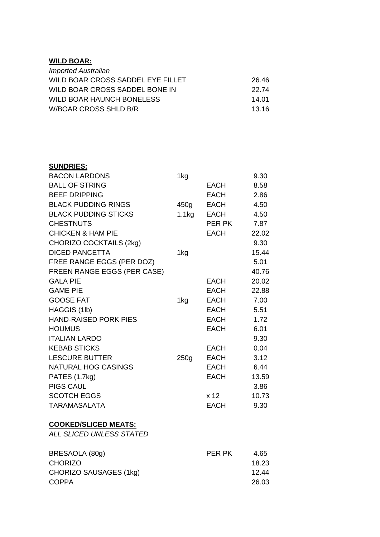#### **WILD BOAR:**

| <b>Imported Australian</b>        |       |
|-----------------------------------|-------|
| WILD BOAR CROSS SADDEL EYE FILLET | 26.46 |
| WILD BOAR CROSS SADDEL BONE IN    | 22.74 |
| <b>WILD BOAR HAUNCH BONELESS</b>  | 14.01 |
| W/BOAR CROSS SHLD B/R             | 13.16 |

| <b>SUNDRIES:</b>               |                  |             |       |
|--------------------------------|------------------|-------------|-------|
| <b>BACON LARDONS</b>           | 1kg              |             | 9.30  |
| <b>BALL OF STRING</b>          |                  | <b>EACH</b> | 8.58  |
| <b>BEEF DRIPPING</b>           |                  | <b>EACH</b> | 2.86  |
| <b>BLACK PUDDING RINGS</b>     | 450g             | <b>EACH</b> | 4.50  |
| <b>BLACK PUDDING STICKS</b>    | 1.1kg            | <b>EACH</b> | 4.50  |
| <b>CHESTNUTS</b>               |                  | PER PK      | 7.87  |
| <b>CHICKEN &amp; HAM PIE</b>   |                  | <b>EACH</b> | 22.02 |
| <b>CHORIZO COCKTAILS (2kg)</b> |                  |             | 9.30  |
| <b>DICED PANCETTA</b>          | 1kg              |             | 15.44 |
| FREE RANGE EGGS (PER DOZ)      |                  |             | 5.01  |
| FREEN RANGE EGGS (PER CASE)    |                  |             | 40.76 |
| <b>GALA PIE</b>                |                  | EACH        | 20.02 |
| <b>GAME PIE</b>                |                  | <b>EACH</b> | 22.88 |
| <b>GOOSE FAT</b>               | 1kg              | <b>EACH</b> | 7.00  |
| HAGGIS (1lb)                   |                  | <b>EACH</b> | 5.51  |
| <b>HAND-RAISED PORK PIES</b>   |                  | <b>EACH</b> | 1.72  |
| <b>HOUMUS</b>                  |                  | <b>EACH</b> | 6.01  |
| <b>ITALIAN LARDO</b>           |                  |             | 9.30  |
| <b>KEBAB STICKS</b>            |                  | <b>EACH</b> | 0.04  |
| <b>LESCURE BUTTER</b>          | 250 <sub>g</sub> | <b>EACH</b> | 3.12  |
| <b>NATURAL HOG CASINGS</b>     |                  | EACH        | 6.44  |
| PATES (1.7kg)                  |                  | <b>EACH</b> | 13.59 |
| <b>PIGS CAUL</b>               |                  |             | 3.86  |
| <b>SCOTCH EGGS</b>             |                  | x 12        | 10.73 |
| <b>TARAMASALATA</b>            |                  | <b>EACH</b> | 9.30  |
|                                |                  |             |       |

#### **COOKED/SLICED MEATS:**

*ALL SLICED UNLESS STATED*

| BRESAOLA (80g)         | PER PK | 4.65  |
|------------------------|--------|-------|
| <b>CHORIZO</b>         |        | 18.23 |
| CHORIZO SAUSAGES (1kg) |        | 12.44 |
| <b>COPPA</b>           |        | 26.03 |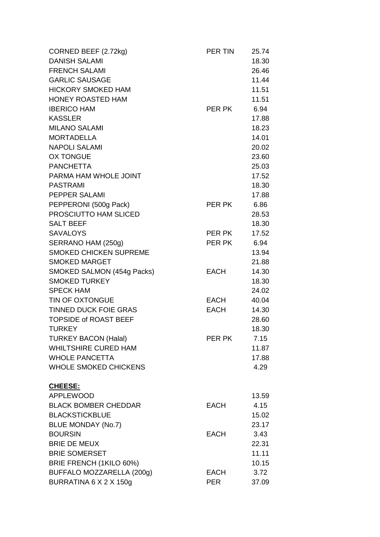| CORNED BEEF (2.72kg)          | PER TIN     | 25.74 |
|-------------------------------|-------------|-------|
| <b>DANISH SALAMI</b>          |             | 18.30 |
| <b>FRENCH SALAMI</b>          |             | 26.46 |
| <b>GARLIC SAUSAGE</b>         |             | 11.44 |
| <b>HICKORY SMOKED HAM</b>     |             | 11.51 |
| <b>HONEY ROASTED HAM</b>      |             | 11.51 |
| <b>IBERICO HAM</b>            | PER PK      | 6.94  |
| <b>KASSLER</b>                |             | 17.88 |
| <b>MILANO SALAMI</b>          |             | 18.23 |
| <b>MORTADELLA</b>             |             | 14.01 |
| <b>NAPOLI SALAMI</b>          |             | 20.02 |
| <b>OX TONGUE</b>              |             | 23.60 |
| <b>PANCHETTA</b>              |             | 25.03 |
| PARMA HAM WHOLE JOINT         |             | 17.52 |
| <b>PASTRAMI</b>               |             | 18.30 |
| PEPPER SALAMI                 |             | 17.88 |
| PEPPERONI (500g Pack)         | PER PK      | 6.86  |
| PROSCIUTTO HAM SLICED         |             | 28.53 |
| <b>SALT BEEF</b>              |             | 18.30 |
| <b>SAVALOYS</b>               | PER PK      | 17.52 |
| SERRANO HAM (250g)            | PER PK      | 6.94  |
| <b>SMOKED CHICKEN SUPREME</b> |             | 13.94 |
| <b>SMOKED MARGET</b>          |             | 21.88 |
| SMOKED SALMON (454g Packs)    | <b>EACH</b> | 14.30 |
| <b>SMOKED TURKEY</b>          |             | 18.30 |
| <b>SPECK HAM</b>              |             | 24.02 |
| TIN OF OXTONGUE               | EACH        | 40.04 |
| <b>TINNED DUCK FOIE GRAS</b>  | <b>EACH</b> | 14.30 |
| <b>TOPSIDE of ROAST BEEF</b>  |             | 28.60 |
| <b>TURKEY</b>                 |             | 18.30 |
| <b>TURKEY BACON (Halal)</b>   | PER PK      | 7.15  |
| <b>WHILTSHIRE CURED HAM</b>   |             | 11.87 |
| <b>WHOLE PANCETTA</b>         |             | 17.88 |
| <b>WHOLE SMOKED CHICKENS</b>  |             | 4.29  |
| CHEESE:                       |             |       |
| <b>APPLEWOOD</b>              |             | 13.59 |
| <b>BLACK BOMBER CHEDDAR</b>   | <b>EACH</b> | 4.15  |
| <b>BLACKSTICKBLUE</b>         |             | 15.02 |
| <b>BLUE MONDAY (No.7)</b>     |             | 23.17 |
| <b>BOURSIN</b>                | <b>EACH</b> | 3.43  |
| <b>BRIE DE MEUX</b>           |             | 22.31 |
| <b>BRIE SOMERSET</b>          |             | 11.11 |
| BRIE FRENCH (1KILO 60%)       |             | 10.15 |
| BUFFALO MOZZARELLA (200g)     | <b>EACH</b> | 3.72  |
| BURRATINA 6 X 2 X 150g        | <b>PER</b>  | 37.09 |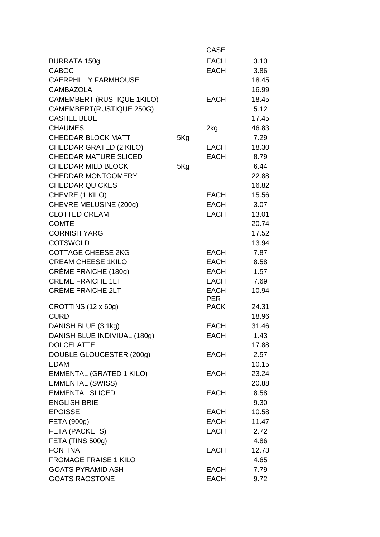|                                   |     | <b>CASE</b> |       |
|-----------------------------------|-----|-------------|-------|
| <b>BURRATA 150g</b>               |     | <b>EACH</b> | 3.10  |
| <b>CABOC</b>                      |     | <b>EACH</b> | 3.86  |
| <b>CAERPHILLY FARMHOUSE</b>       |     |             | 18.45 |
| <b>CAMBAZOLA</b>                  |     |             | 16.99 |
| <b>CAMEMBERT (RUSTIQUE 1KILO)</b> |     | <b>EACH</b> | 18.45 |
| CAMEMBERT(RUSTIQUE 250G)          |     |             | 5.12  |
| <b>CASHEL BLUE</b>                |     |             | 17.45 |
| <b>CHAUMES</b>                    |     | 2kg         | 46.83 |
| <b>CHEDDAR BLOCK MATT</b>         | 5Kg |             | 7.29  |
| CHEDDAR GRATED (2 KILO)           |     | <b>EACH</b> | 18.30 |
| <b>CHEDDAR MATURE SLICED</b>      |     | <b>EACH</b> | 8.79  |
| <b>CHEDDAR MILD BLOCK</b>         | 5Kg |             | 6.44  |
| <b>CHEDDAR MONTGOMERY</b>         |     |             | 22.88 |
| <b>CHEDDAR QUICKES</b>            |     |             | 16.82 |
| CHEVRE (1 KILO)                   |     | EACH        | 15.56 |
| CHEVRE MELUSINE (200g)            |     | <b>EACH</b> | 3.07  |
| <b>CLOTTED CREAM</b>              |     | <b>EACH</b> | 13.01 |
| <b>COMTE</b>                      |     |             | 20.74 |
| <b>CORNISH YARG</b>               |     |             | 17.52 |
| <b>COTSWOLD</b>                   |     |             | 13.94 |
| <b>COTTAGE CHEESE 2KG</b>         |     | <b>EACH</b> | 7.87  |
| <b>CREAM CHEESE 1KILO</b>         |     | <b>EACH</b> | 8.58  |
| CRÈME FRAICHE (180g)              |     | EACH        | 1.57  |
| <b>CREME FRAICHE 1LT</b>          |     | <b>EACH</b> | 7.69  |
| <b>CRÈME FRAICHE 2LT</b>          |     | <b>EACH</b> | 10.94 |
|                                   |     | <b>PER</b>  |       |
| CROTTINS (12 x 60g)               |     | <b>PACK</b> | 24.31 |
| <b>CURD</b>                       |     |             | 18.96 |
| DANISH BLUE (3.1kg)               |     | <b>EACH</b> | 31.46 |
| DANISH BLUE INDIVIUAL (180g)      |     | <b>EACH</b> | 1.43  |
| <b>DOLCELATTE</b>                 |     |             | 17.88 |
| DOUBLE GLOUCESTER (200g)          |     | <b>EACH</b> | 2.57  |
| <b>EDAM</b>                       |     |             | 10.15 |
| <b>EMMENTAL (GRATED 1 KILO)</b>   |     | EACH        | 23.24 |
| <b>EMMENTAL (SWISS)</b>           |     |             | 20.88 |
| <b>EMMENTAL SLICED</b>            |     | <b>EACH</b> | 8.58  |
| <b>ENGLISH BRIE</b>               |     |             | 9.30  |
| <b>EPOISSE</b>                    |     | EACH        | 10.58 |
| FETA (900g)                       |     | <b>EACH</b> | 11.47 |
| FETA (PACKETS)                    |     | <b>EACH</b> | 2.72  |
| FETA (TINS 500g)                  |     |             | 4.86  |
| <b>FONTINA</b>                    |     | EACH        | 12.73 |
| <b>FROMAGE FRAISE 1 KILO</b>      |     |             | 4.65  |
| <b>GOATS PYRAMID ASH</b>          |     | <b>EACH</b> | 7.79  |
| <b>GOATS RAGSTONE</b>             |     | <b>EACH</b> | 9.72  |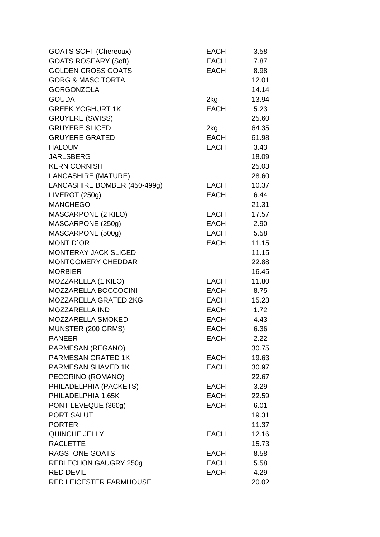| <b>GOATS SOFT (Chereoux)</b> | <b>EACH</b> | 3.58  |
|------------------------------|-------------|-------|
| <b>GOATS ROSEARY (Soft)</b>  | <b>EACH</b> | 7.87  |
| <b>GOLDEN CROSS GOATS</b>    | <b>EACH</b> | 8.98  |
| <b>GORG &amp; MASC TORTA</b> |             | 12.01 |
| <b>GORGONZOLA</b>            |             | 14.14 |
| <b>GOUDA</b>                 | 2kg         | 13.94 |
| <b>GREEK YOGHURT 1K</b>      | <b>EACH</b> | 5.23  |
| <b>GRUYERE (SWISS)</b>       |             | 25.60 |
| <b>GRUYERE SLICED</b>        | 2kg         | 64.35 |
| <b>GRUYERE GRATED</b>        | <b>EACH</b> | 61.98 |
| <b>HALOUMI</b>               | <b>EACH</b> | 3.43  |
| <b>JARLSBERG</b>             |             | 18.09 |
| <b>KERN CORNISH</b>          |             | 25.03 |
| LANCASHIRE (MATURE)          |             | 28.60 |
| LANCASHIRE BOMBER (450-499g) | EACH        | 10.37 |
| LIVEROT (250g)               | <b>EACH</b> | 6.44  |
| <b>MANCHEGO</b>              |             | 21.31 |
| <b>MASCARPONE (2 KILO)</b>   | EACH        | 17.57 |
| MASCARPONE (250g)            | EACH        | 2.90  |
| MASCARPONE (500g)            | <b>EACH</b> | 5.58  |
| MONT D'OR                    | EACH        | 11.15 |
| <b>MONTERAY JACK SLICED</b>  |             | 11.15 |
| <b>MONTGOMERY CHEDDAR</b>    |             | 22.88 |
| <b>MORBIER</b>               |             | 16.45 |
| MOZZARELLA (1 KILO)          | EACH        | 11.80 |
| MOZZARELLA BOCCOCINI         | EACH        | 8.75  |
| MOZZARELLA GRATED 2KG        | EACH        | 15.23 |
| <b>MOZZARELLA IND</b>        | EACH        | 1.72  |
| MOZZARELLA SMOKED            | EACH        | 4.43  |
| MUNSTER (200 GRMS)           | <b>EACH</b> | 6.36  |
| <b>PANEER</b>                | <b>EACH</b> | 2.22  |
| PARMESAN (REGANO)            |             | 30.75 |
| <b>PARMESAN GRATED 1K</b>    | EACH        | 19.63 |
| PARMESAN SHAVED 1K           | EACH        | 30.97 |
| PECORINO (ROMANO)            |             | 22.67 |
| PHILADELPHIA (PACKETS)       | EACH        | 3.29  |
| PHILADELPHIA 1.65K           | <b>EACH</b> | 22.59 |
| PONT LEVEQUE (360g)          | EACH        | 6.01  |
| PORT SALUT                   |             | 19.31 |
| <b>PORTER</b>                |             | 11.37 |
| QUINCHE JELLY                | <b>EACH</b> | 12.16 |
| <b>RACLETTE</b>              |             | 15.73 |
| <b>RAGSTONE GOATS</b>        | EACH        | 8.58  |
| <b>REBLECHON GAUGRY 250g</b> | EACH        | 5.58  |
| <b>RED DEVIL</b>             | <b>EACH</b> | 4.29  |
| RED LEICESTER FARMHOUSE      |             | 20.02 |